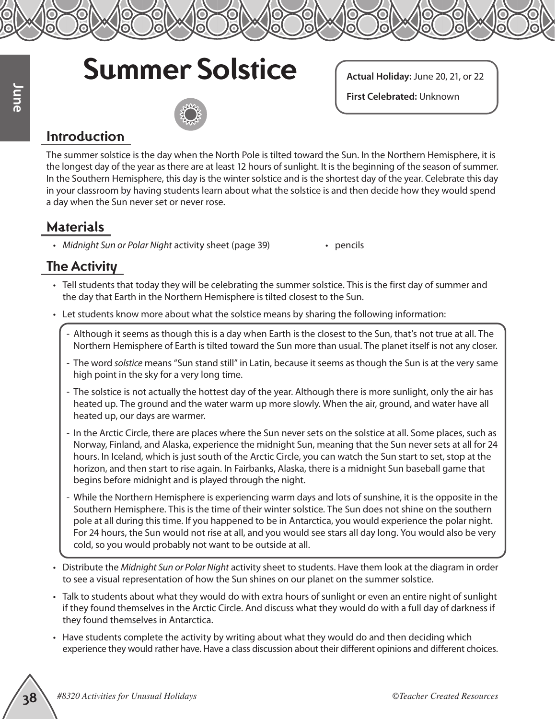## **Summer Solstice**

**Actual Holiday:** June 20, 21, or 22

**First Celebrated:** Unknown

#### **Introduction**

**Exact Collect Activity Exact Collect Activity Exact Collect Activities for Unusual Holiday Activities for Unusual Holidays <b>3** *Collect Activities For Unusual Holidays Collect Activities for Unit Activity Collect A* The summer solstice is the day when the North Pole is tilted toward the Sun. In the Northern Hemisphere, it is the longest day of the year as there are at least 12 hours of sunlight. It is the beginning of the season of summer. In the Southern Hemisphere, this day is the winter solstice and is the shortest day of the year. Celebrate this day in your classroom by having students learn about what the solstice is and then decide how they would spend a day when the Sun never set or never rose.

#### **Materials**

- Midnight Sun or Polar Night activity sheet (page 39) pencils
	-

### **The Activity**

- Tell students that today they will be celebrating the summer solstice. This is the first day of summer and the day that Earth in the Northern Hemisphere is tilted closest to the Sun.
- Let students know more about what the solstice means by sharing the following information:
	- Although it seems as though this is a day when Earth is the closest to the Sun, that's not true at all. The Northern Hemisphere of Earth is tilted toward the Sun more than usual. The planet itself is not any closer.
	- The word *solstice* means "Sun stand still" in Latin, because it seems as though the Sun is at the very same high point in the sky for a very long time.
	- The solstice is not actually the hottest day of the year. Although there is more sunlight, only the air has heated up. The ground and the water warm up more slowly. When the air, ground, and water have all heated up, our days are warmer.
	- In the Arctic Circle, there are places where the Sun never sets on the solstice at all. Some places, such as Norway, Finland, and Alaska, experience the midnight Sun, meaning that the Sun never sets at all for 24 hours. In Iceland, which is just south of the Arctic Circle, you can watch the Sun start to set, stop at the horizon, and then start to rise again. In Fairbanks, Alaska, there is a midnight Sun baseball game that begins before midnight and is played through the night.
	- While the Northern Hemisphere is experiencing warm days and lots of sunshine, it is the opposite in the Southern Hemisphere. This is the time of their winter solstice. The Sun does not shine on the southern pole at all during this time. If you happened to be in Antarctica, you would experience the polar night. For 24 hours, the Sun would not rise at all, and you would see stars all day long. You would also be very cold, so you would probably not want to be outside at all.
- Distribute the *Midnight Sun or Polar Night* activity sheet to students. Have them look at the diagram in order to see a visual representation of how the Sun shines on our planet on the summer solstice.
- Talk to students about what they would do with extra hours of sunlight or even an entire night of sunlight if they found themselves in the Arctic Circle. And discuss what they would do with a full day of darkness if they found themselves in Antarctica.
- Have students complete the activity by writing about what they would do and then deciding which experience they would rather have. Have a class discussion about their different opinions and different choices.